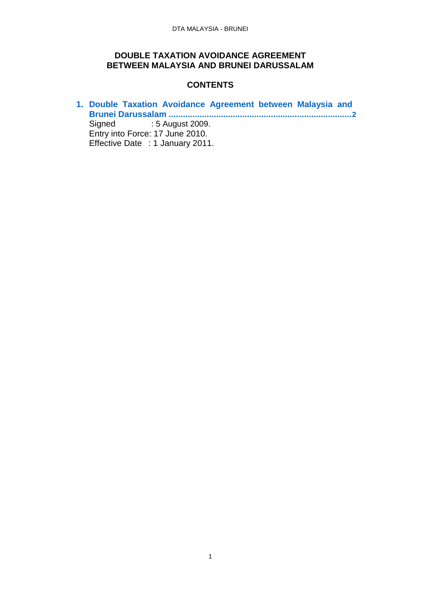### **DOUBLE TAXATION AVOIDANCE AGREEMENT BETWEEN MALAYSIA AND BRUNEI DARUSSALAM**

### **CONTENTS**

**1. [Double Taxation Avoidance Agreement between Malaysia and](#page-1-0) [Brunei Darussalam](#page-1-0) .............................................................................[2](#page-1-0)** : 5 August 2009. Entry into Force: 17 June 2010. Effective Date : 1 January 2011.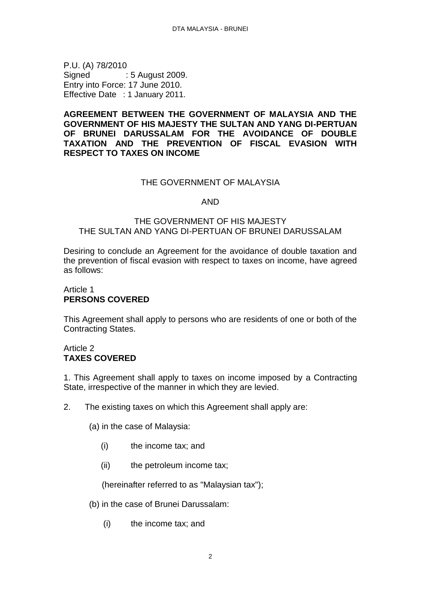<span id="page-1-0"></span>P.U. (A) 78/2010 Signed : 5 August 2009. Entry into Force: 17 June 2010. Effective Date : 1 January 2011.

### **AGREEMENT BETWEEN THE GOVERNMENT OF MALAYSIA AND THE GOVERNMENT OF HIS MAJESTY THE SULTAN AND YANG DI-PERTUAN OF BRUNEI DARUSSALAM FOR THE AVOIDANCE OF DOUBLE TAXATION AND THE PREVENTION OF FISCAL EVASION WITH RESPECT TO TAXES ON INCOME**

### THE GOVERNMENT OF MALAYSIA

### AND

### THE GOVERNMENT OF HIS MAJESTY THE SULTAN AND YANG DI-PERTUAN OF BRUNEI DARUSSALAM

Desiring to conclude an Agreement for the avoidance of double taxation and the prevention of fiscal evasion with respect to taxes on income, have agreed as follows:

### Article 1 **PERSONS COVERED**

This Agreement shall apply to persons who are residents of one or both of the Contracting States.

### Article 2 **TAXES COVERED**

1. This Agreement shall apply to taxes on income imposed by a Contracting State, irrespective of the manner in which they are levied.

2. The existing taxes on which this Agreement shall apply are:

(a) in the case of Malaysia:

- (i) the income tax; and
- (ii) the petroleum income tax;

(hereinafter referred to as "Malaysian tax");

- (b) in the case of Brunei Darussalam:
	- (i) the income tax; and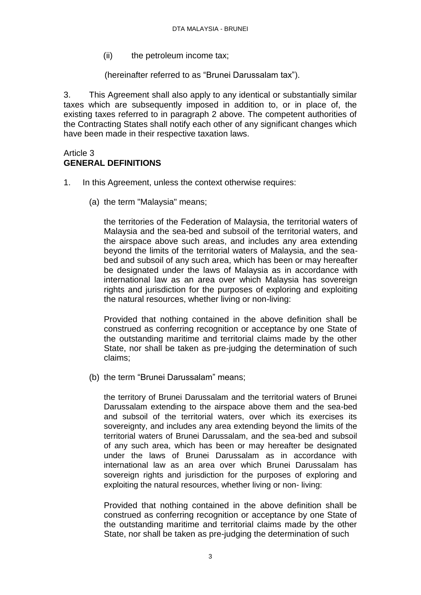(ii) the petroleum income tax:

(hereinafter referred to as "Brunei Darussalam tax").

3. This Agreement shall also apply to any identical or substantially similar taxes which are subsequently imposed in addition to, or in place of, the existing taxes referred to in paragraph 2 above. The competent authorities of the Contracting States shall notify each other of any significant changes which have been made in their respective taxation laws.

#### Article 3 **GENERAL DEFINITIONS**

- 1. In this Agreement, unless the context otherwise requires:
	- (a) the term "Malaysia" means;

the territories of the Federation of Malaysia, the territorial waters of Malaysia and the sea-bed and subsoil of the territorial waters, and the airspace above such areas, and includes any area extending beyond the limits of the territorial waters of Malaysia, and the seabed and subsoil of any such area, which has been or may hereafter be designated under the laws of Malaysia as in accordance with international law as an area over which Malaysia has sovereign rights and jurisdiction for the purposes of exploring and exploiting the natural resources, whether living or non-living:

Provided that nothing contained in the above definition shall be construed as conferring recognition or acceptance by one State of the outstanding maritime and territorial claims made by the other State, nor shall be taken as pre-judging the determination of such claims;

(b) the term "Brunei Darussalam" means;

the territory of Brunei Darussalam and the territorial waters of Brunei Darussalam extending to the airspace above them and the sea-bed and subsoil of the territorial waters, over which its exercises its sovereignty, and includes any area extending beyond the limits of the territorial waters of Brunei Darussalam, and the sea-bed and subsoil of any such area, which has been or may hereafter be designated under the laws of Brunei Darussalam as in accordance with international law as an area over which Brunei Darussalam has sovereign rights and jurisdiction for the purposes of exploring and exploiting the natural resources, whether living or non- living:

Provided that nothing contained in the above definition shall be construed as conferring recognition or acceptance by one State of the outstanding maritime and territorial claims made by the other State, nor shall be taken as pre-judging the determination of such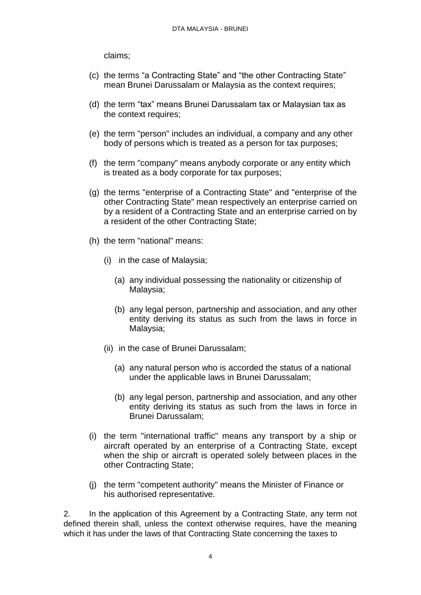claims;

- (c) the terms "a Contracting State" and "the other Contracting State" mean Brunei Darussalam or Malaysia as the context requires;
- (d) the term "tax" means Brunei Darussalam tax or Malaysian tax as the context requires;
- (e) the term "person" includes an individual, a company and any other body of persons which is treated as a person for tax purposes;
- (f) the term "company" means anybody corporate or any entity which is treated as a body corporate for tax purposes;
- (g) the terms "enterprise of a Contracting State" and "enterprise of the other Contracting State" mean respectively an enterprise carried on by a resident of a Contracting State and an enterprise carried on by a resident of the other Contracting State;
- (h) the term "national" means:
	- (i) in the case of Malaysia;
		- (a) any individual possessing the nationality or citizenship of Malaysia;
		- (b) any legal person, partnership and association, and any other entity deriving its status as such from the laws in force in Malaysia;
	- (ii) in the case of Brunei Darussalam;
		- (a) any natural person who is accorded the status of a national under the applicable laws in Brunei Darussalam;
		- (b) any legal person, partnership and association, and any other entity deriving its status as such from the laws in force in Brunei Darussalam;
- (i) the term "international traffic" means any transport by a ship or aircraft operated by an enterprise of a Contracting State, except when the ship or aircraft is operated solely between places in the other Contracting State;
- (j) the term "competent authority" means the Minister of Finance or his authorised representative.

2. In the application of this Agreement by a Contracting State, any term not defined therein shall, unless the context otherwise requires, have the meaning which it has under the laws of that Contracting State concerning the taxes to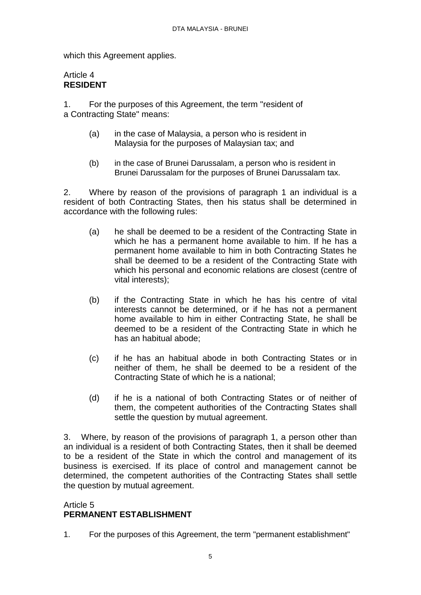which this Agreement applies.

### Article 4 **RESIDENT**

1. For the purposes of this Agreement, the term "resident of a Contracting State" means:

- (a) in the case of Malaysia, a person who is resident in Malaysia for the purposes of Malaysian tax; and
- (b) in the case of Brunei Darussalam, a person who is resident in Brunei Darussalam for the purposes of Brunei Darussalam tax.

2. Where by reason of the provisions of paragraph 1 an individual is a resident of both Contracting States, then his status shall be determined in accordance with the following rules:

- (a) he shall be deemed to be a resident of the Contracting State in which he has a permanent home available to him. If he has a permanent home available to him in both Contracting States he shall be deemed to be a resident of the Contracting State with which his personal and economic relations are closest (centre of vital interests);
- (b) if the Contracting State in which he has his centre of vital interests cannot be determined, or if he has not a permanent home available to him in either Contracting State, he shall be deemed to be a resident of the Contracting State in which he has an habitual abode;
- (c) if he has an habitual abode in both Contracting States or in neither of them, he shall be deemed to be a resident of the Contracting State of which he is a national;
- (d) if he is a national of both Contracting States or of neither of them, the competent authorities of the Contracting States shall settle the question by mutual agreement.

3. Where, by reason of the provisions of paragraph 1, a person other than an individual is a resident of both Contracting States, then it shall be deemed to be a resident of the State in which the control and management of its business is exercised. If its place of control and management cannot be determined, the competent authorities of the Contracting States shall settle the question by mutual agreement.

### Article 5 **PERMANENT ESTABLISHMENT**

1. For the purposes of this Agreement, the term "permanent establishment"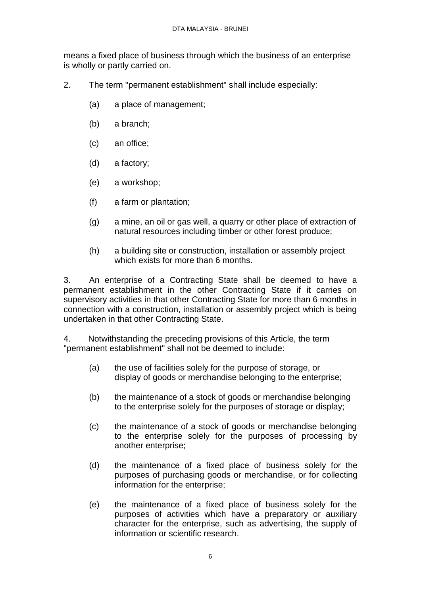means a fixed place of business through which the business of an enterprise is wholly or partly carried on.

- 2. The term "permanent establishment" shall include especially:
	- (a) a place of management;
	- (b) a branch;
	- (c) an office;
	- (d) a factory;
	- (e) a workshop;
	- (f) a farm or plantation;
	- (g) a mine, an oil or gas well, a quarry or other place of extraction of natural resources including timber or other forest produce;
	- (h) a building site or construction, installation or assembly project which exists for more than 6 months.

3. An enterprise of a Contracting State shall be deemed to have a permanent establishment in the other Contracting State if it carries on supervisory activities in that other Contracting State for more than 6 months in connection with a construction, installation or assembly project which is being undertaken in that other Contracting State.

4. Notwithstanding the preceding provisions of this Article, the term "permanent establishment" shall not be deemed to include:

- (a) the use of facilities solely for the purpose of storage, or display of goods or merchandise belonging to the enterprise;
- (b) the maintenance of a stock of goods or merchandise belonging to the enterprise solely for the purposes of storage or display;
- (c) the maintenance of a stock of goods or merchandise belonging to the enterprise solely for the purposes of processing by another enterprise;
- (d) the maintenance of a fixed place of business solely for the purposes of purchasing goods or merchandise, or for collecting information for the enterprise;
- (e) the maintenance of a fixed place of business solely for the purposes of activities which have a preparatory or auxiliary character for the enterprise, such as advertising, the supply of information or scientific research.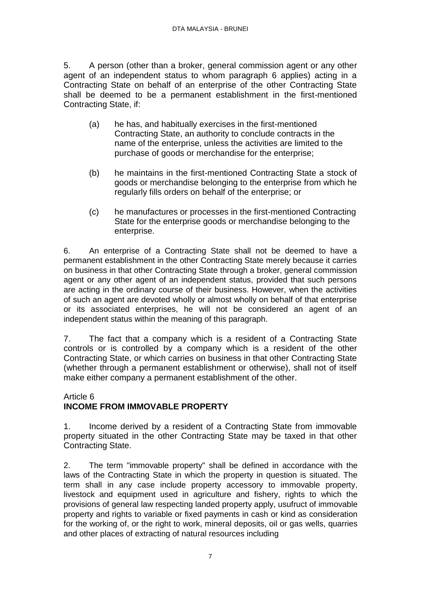5. A person (other than a broker, general commission agent or any other agent of an independent status to whom paragraph 6 applies) acting in a Contracting State on behalf of an enterprise of the other Contracting State shall be deemed to be a permanent establishment in the first-mentioned Contracting State, if:

- (a) he has, and habitually exercises in the first-mentioned Contracting State, an authority to conclude contracts in the name of the enterprise, unless the activities are limited to the purchase of goods or merchandise for the enterprise;
- (b) he maintains in the first-mentioned Contracting State a stock of goods or merchandise belonging to the enterprise from which he regularly fills orders on behalf of the enterprise; or
- (c) he manufactures or processes in the first-mentioned Contracting State for the enterprise goods or merchandise belonging to the enterprise.

6. An enterprise of a Contracting State shall not be deemed to have a permanent establishment in the other Contracting State merely because it carries on business in that other Contracting State through a broker, general commission agent or any other agent of an independent status, provided that such persons are acting in the ordinary course of their business. However, when the activities of such an agent are devoted wholly or almost wholly on behalf of that enterprise or its associated enterprises, he will not be considered an agent of an independent status within the meaning of this paragraph.

7. The fact that a company which is a resident of a Contracting State controls or is controlled by a company which is a resident of the other Contracting State, or which carries on business in that other Contracting State (whether through a permanent establishment or otherwise), shall not of itself make either company a permanent establishment of the other.

### Article 6 **INCOME FROM IMMOVABLE PROPERTY**

1. Income derived by a resident of a Contracting State from immovable property situated in the other Contracting State may be taxed in that other Contracting State.

2. The term "immovable property" shall be defined in accordance with the laws of the Contracting State in which the property in question is situated. The term shall in any case include property accessory to immovable property, livestock and equipment used in agriculture and fishery, rights to which the provisions of general law respecting landed property apply, usufruct of immovable property and rights to variable or fixed payments in cash or kind as consideration for the working of, or the right to work, mineral deposits, oil or gas wells, quarries and other places of extracting of natural resources including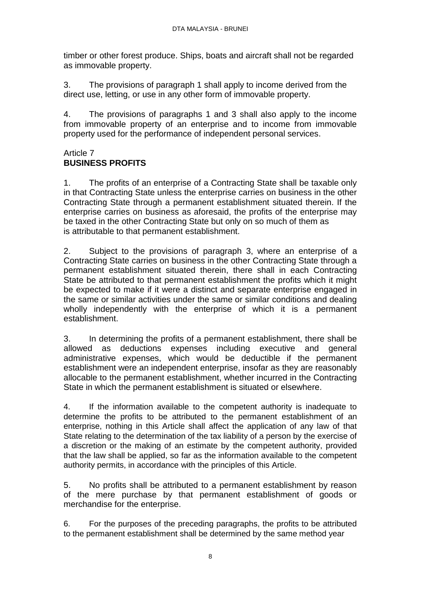timber or other forest produce. Ships, boats and aircraft shall not be regarded as immovable property.

3. The provisions of paragraph 1 shall apply to income derived from the direct use, letting, or use in any other form of immovable property.

4. The provisions of paragraphs 1 and 3 shall also apply to the income from immovable property of an enterprise and to income from immovable property used for the performance of independent personal services.

#### Article 7 **BUSINESS PROFITS**

1. The profits of an enterprise of a Contracting State shall be taxable only in that Contracting State unless the enterprise carries on business in the other Contracting State through a permanent establishment situated therein. If the enterprise carries on business as aforesaid, the profits of the enterprise may be taxed in the other Contracting State but only on so much of them as is attributable to that permanent establishment.

2. Subject to the provisions of paragraph 3, where an enterprise of a Contracting State carries on business in the other Contracting State through a permanent establishment situated therein, there shall in each Contracting State be attributed to that permanent establishment the profits which it might be expected to make if it were a distinct and separate enterprise engaged in the same or similar activities under the same or similar conditions and dealing wholly independently with the enterprise of which it is a permanent establishment.

3. In determining the profits of a permanent establishment, there shall be allowed as deductions expenses including executive and general administrative expenses, which would be deductible if the permanent establishment were an independent enterprise, insofar as they are reasonably allocable to the permanent establishment, whether incurred in the Contracting State in which the permanent establishment is situated or elsewhere.

4. If the information available to the competent authority is inadequate to determine the profits to be attributed to the permanent establishment of an enterprise, nothing in this Article shall affect the application of any law of that State relating to the determination of the tax liability of a person by the exercise of a discretion or the making of an estimate by the competent authority, provided that the law shall be applied, so far as the information available to the competent authority permits, in accordance with the principles of this Article.

5. No profits shall be attributed to a permanent establishment by reason of the mere purchase by that permanent establishment of goods or merchandise for the enterprise.

6. For the purposes of the preceding paragraphs, the profits to be attributed to the permanent establishment shall be determined by the same method year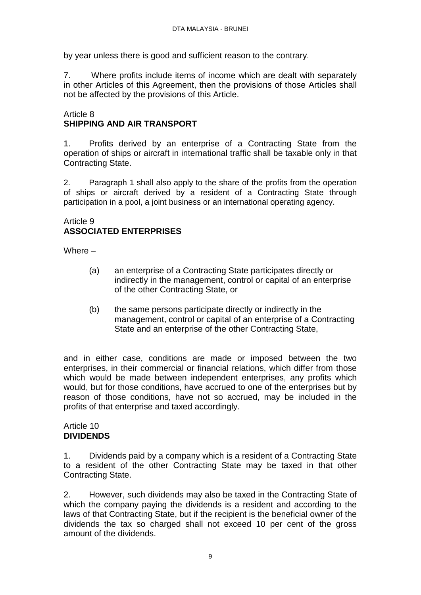by year unless there is good and sufficient reason to the contrary.

7. Where profits include items of income which are dealt with separately in other Articles of this Agreement, then the provisions of those Articles shall not be affected by the provisions of this Article.

### Article 8 **SHIPPING AND AIR TRANSPORT**

1. Profits derived by an enterprise of a Contracting State from the operation of ships or aircraft in international traffic shall be taxable only in that Contracting State.

2. Paragraph 1 shall also apply to the share of the profits from the operation of ships or aircraft derived by a resident of a Contracting State through participation in a pool, a joint business or an international operating agency.

#### Article 9 **ASSOCIATED ENTERPRISES**

Where –

- (a) an enterprise of a Contracting State participates directly or indirectly in the management, control or capital of an enterprise of the other Contracting State, or
- (b) the same persons participate directly or indirectly in the management, control or capital of an enterprise of a Contracting State and an enterprise of the other Contracting State,

and in either case, conditions are made or imposed between the two enterprises, in their commercial or financial relations, which differ from those which would be made between independent enterprises, any profits which would, but for those conditions, have accrued to one of the enterprises but by reason of those conditions, have not so accrued, may be included in the profits of that enterprise and taxed accordingly.

#### Article 10 **DIVIDENDS**

1. Dividends paid by a company which is a resident of a Contracting State to a resident of the other Contracting State may be taxed in that other Contracting State.

2. However, such dividends may also be taxed in the Contracting State of which the company paying the dividends is a resident and according to the laws of that Contracting State, but if the recipient is the beneficial owner of the dividends the tax so charged shall not exceed 10 per cent of the gross amount of the dividends.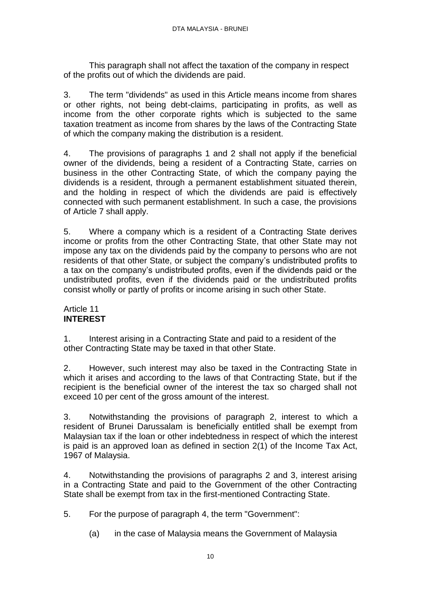This paragraph shall not affect the taxation of the company in respect of the profits out of which the dividends are paid.

3. The term "dividends" as used in this Article means income from shares or other rights, not being debt-claims, participating in profits, as well as income from the other corporate rights which is subjected to the same taxation treatment as income from shares by the laws of the Contracting State of which the company making the distribution is a resident.

4. The provisions of paragraphs 1 and 2 shall not apply if the beneficial owner of the dividends, being a resident of a Contracting State, carries on business in the other Contracting State, of which the company paying the dividends is a resident, through a permanent establishment situated therein, and the holding in respect of which the dividends are paid is effectively connected with such permanent establishment. In such a case, the provisions of Article 7 shall apply.

5. Where a company which is a resident of a Contracting State derives income or profits from the other Contracting State, that other State may not impose any tax on the dividends paid by the company to persons who are not residents of that other State, or subject the company's undistributed profits to a tax on the company's undistributed profits, even if the dividends paid or the undistributed profits, even if the dividends paid or the undistributed profits consist wholly or partly of profits or income arising in such other State.

### Article 11 **INTEREST**

1. Interest arising in a Contracting State and paid to a resident of the other Contracting State may be taxed in that other State.

2. However, such interest may also be taxed in the Contracting State in which it arises and according to the laws of that Contracting State, but if the recipient is the beneficial owner of the interest the tax so charged shall not exceed 10 per cent of the gross amount of the interest.

3. Notwithstanding the provisions of paragraph 2, interest to which a resident of Brunei Darussalam is beneficially entitled shall be exempt from Malaysian tax if the loan or other indebtedness in respect of which the interest is paid is an approved loan as defined in section 2(1) of the Income Tax Act, 1967 of Malaysia.

4. Notwithstanding the provisions of paragraphs 2 and 3, interest arising in a Contracting State and paid to the Government of the other Contracting State shall be exempt from tax in the first-mentioned Contracting State.

5. For the purpose of paragraph 4, the term "Government":

(a) in the case of Malaysia means the Government of Malaysia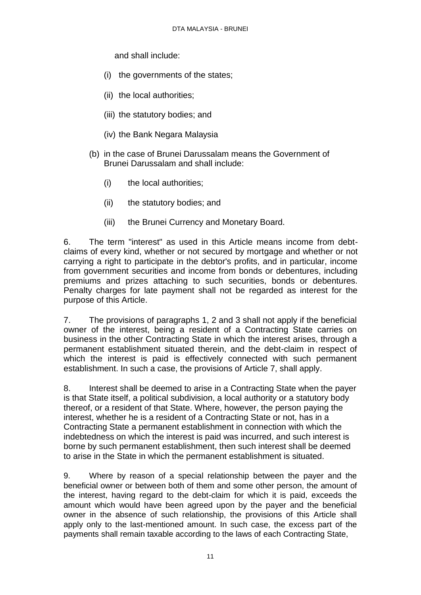and shall include:

- (i) the governments of the states;
- (ii) the local authorities;
- (iii) the statutory bodies; and
- (iv) the Bank Negara Malaysia
- (b) in the case of Brunei Darussalam means the Government of Brunei Darussalam and shall include:
	- (i) the local authorities;
	- (ii) the statutory bodies; and
	- (iii) the Brunei Currency and Monetary Board.

6. The term "interest" as used in this Article means income from debtclaims of every kind, whether or not secured by mortgage and whether or not carrying a right to participate in the debtor's profits, and in particular, income from government securities and income from bonds or debentures, including premiums and prizes attaching to such securities, bonds or debentures. Penalty charges for late payment shall not be regarded as interest for the purpose of this Article.

7. The provisions of paragraphs 1, 2 and 3 shall not apply if the beneficial owner of the interest, being a resident of a Contracting State carries on business in the other Contracting State in which the interest arises, through a permanent establishment situated therein, and the debt-claim in respect of which the interest is paid is effectively connected with such permanent establishment. In such a case, the provisions of Article 7, shall apply.

8. Interest shall be deemed to arise in a Contracting State when the payer is that State itself, a political subdivision, a local authority or a statutory body thereof, or a resident of that State. Where, however, the person paying the interest, whether he is a resident of a Contracting State or not, has in a Contracting State a permanent establishment in connection with which the indebtedness on which the interest is paid was incurred, and such interest is borne by such permanent establishment, then such interest shall be deemed to arise in the State in which the permanent establishment is situated.

9. Where by reason of a special relationship between the payer and the beneficial owner or between both of them and some other person, the amount of the interest, having regard to the debt-claim for which it is paid, exceeds the amount which would have been agreed upon by the payer and the beneficial owner in the absence of such relationship, the provisions of this Article shall apply only to the last-mentioned amount. In such case, the excess part of the payments shall remain taxable according to the laws of each Contracting State,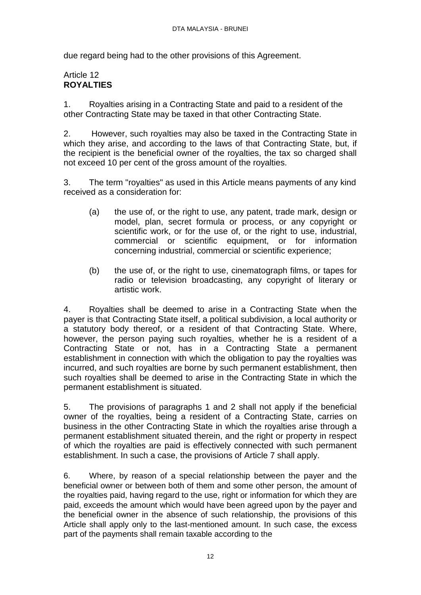due regard being had to the other provisions of this Agreement.

# Article 12 **ROYALTIES**

1. Royalties arising in a Contracting State and paid to a resident of the other Contracting State may be taxed in that other Contracting State.

2. However, such royalties may also be taxed in the Contracting State in which they arise, and according to the laws of that Contracting State, but, if the recipient is the beneficial owner of the royalties, the tax so charged shall not exceed 10 per cent of the gross amount of the royalties.

3. The term "royalties" as used in this Article means payments of any kind received as a consideration for:

- (a) the use of, or the right to use, any patent, trade mark, design or model, plan, secret formula or process, or any copyright or scientific work, or for the use of, or the right to use, industrial, commercial or scientific equipment, or for information concerning industrial, commercial or scientific experience;
- (b) the use of, or the right to use, cinematograph films, or tapes for radio or television broadcasting, any copyright of literary or artistic work.

4. Royalties shall be deemed to arise in a Contracting State when the payer is that Contracting State itself, a political subdivision, a local authority or a statutory body thereof, or a resident of that Contracting State. Where, however, the person paying such royalties, whether he is a resident of a Contracting State or not, has in a Contracting State a permanent establishment in connection with which the obligation to pay the royalties was incurred, and such royalties are borne by such permanent establishment, then such royalties shall be deemed to arise in the Contracting State in which the permanent establishment is situated.

5. The provisions of paragraphs 1 and 2 shall not apply if the beneficial owner of the royalties, being a resident of a Contracting State, carries on business in the other Contracting State in which the royalties arise through a permanent establishment situated therein, and the right or property in respect of which the royalties are paid is effectively connected with such permanent establishment. In such a case, the provisions of Article 7 shall apply.

6. Where, by reason of a special relationship between the payer and the beneficial owner or between both of them and some other person, the amount of the royalties paid, having regard to the use, right or information for which they are paid, exceeds the amount which would have been agreed upon by the payer and the beneficial owner in the absence of such relationship, the provisions of this Article shall apply only to the last-mentioned amount. In such case, the excess part of the payments shall remain taxable according to the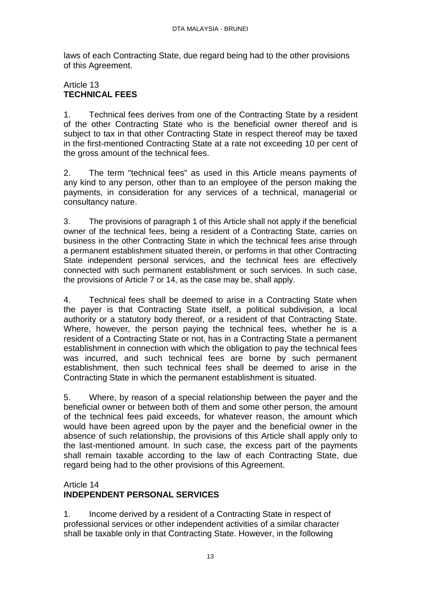laws of each Contracting State, due regard being had to the other provisions of this Agreement.

# Article 13 **TECHNICAL FEES**

1. Technical fees derives from one of the Contracting State by a resident of the other Contracting State who is the beneficial owner thereof and is subject to tax in that other Contracting State in respect thereof may be taxed in the first-mentioned Contracting State at a rate not exceeding 10 per cent of the gross amount of the technical fees.

2. The term "technical fees" as used in this Article means payments of any kind to any person, other than to an employee of the person making the payments, in consideration for any services of a technical, managerial or consultancy nature.

3. The provisions of paragraph 1 of this Article shall not apply if the beneficial owner of the technical fees, being a resident of a Contracting State, carries on business in the other Contracting State in which the technical fees arise through a permanent establishment situated therein, or performs in that other Contracting State independent personal services, and the technical fees are effectively connected with such permanent establishment or such services. In such case, the provisions of Article 7 or 14, as the case may be, shall apply.

4. Technical fees shall be deemed to arise in a Contracting State when the payer is that Contracting State itself, a political subdivision, a local authority or a statutory body thereof, or a resident of that Contracting State. Where, however, the person paying the technical fees, whether he is a resident of a Contracting State or not, has in a Contracting State a permanent establishment in connection with which the obligation to pay the technical fees was incurred, and such technical fees are borne by such permanent establishment, then such technical fees shall be deemed to arise in the Contracting State in which the permanent establishment is situated.

5. Where, by reason of a special relationship between the payer and the beneficial owner or between both of them and some other person, the amount of the technical fees paid exceeds, for whatever reason, the amount which would have been agreed upon by the payer and the beneficial owner in the absence of such relationship, the provisions of this Article shall apply only to the last-mentioned amount. In such case, the excess part of the payments shall remain taxable according to the law of each Contracting State, due regard being had to the other provisions of this Agreement.

# Article 14

# **INDEPENDENT PERSONAL SERVICES**

1. Income derived by a resident of a Contracting State in respect of professional services or other independent activities of a similar character shall be taxable only in that Contracting State. However, in the following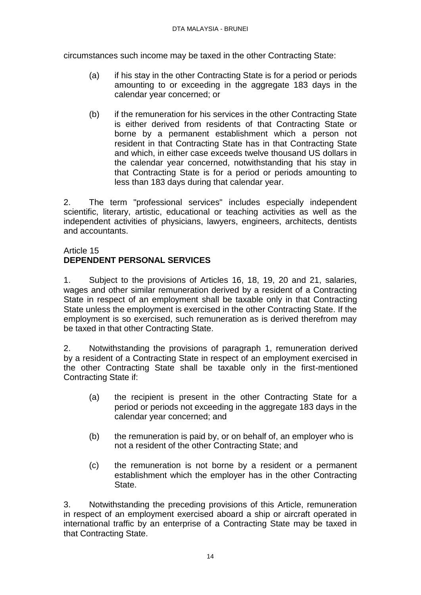circumstances such income may be taxed in the other Contracting State:

- (a) if his stay in the other Contracting State is for a period or periods amounting to or exceeding in the aggregate 183 days in the calendar year concerned; or
- (b) if the remuneration for his services in the other Contracting State is either derived from residents of that Contracting State or borne by a permanent establishment which a person not resident in that Contracting State has in that Contracting State and which, in either case exceeds twelve thousand US dollars in the calendar year concerned, notwithstanding that his stay in that Contracting State is for a period or periods amounting to less than 183 days during that calendar year.

2. The term "professional services" includes especially independent scientific, literary, artistic, educational or teaching activities as well as the independent activities of physicians, lawyers, engineers, architects, dentists and accountants.

### Article 15 **DEPENDENT PERSONAL SERVICES**

1. Subject to the provisions of Articles 16, 18, 19, 20 and 21, salaries, wages and other similar remuneration derived by a resident of a Contracting State in respect of an employment shall be taxable only in that Contracting State unless the employment is exercised in the other Contracting State. If the employment is so exercised, such remuneration as is derived therefrom may be taxed in that other Contracting State.

2. Notwithstanding the provisions of paragraph 1, remuneration derived by a resident of a Contracting State in respect of an employment exercised in the other Contracting State shall be taxable only in the first-mentioned Contracting State if:

- (a) the recipient is present in the other Contracting State for a period or periods not exceeding in the aggregate 183 days in the calendar year concerned; and
- (b) the remuneration is paid by, or on behalf of, an employer who is not a resident of the other Contracting State; and
- (c) the remuneration is not borne by a resident or a permanent establishment which the employer has in the other Contracting **State**

3. Notwithstanding the preceding provisions of this Article, remuneration in respect of an employment exercised aboard a ship or aircraft operated in international traffic by an enterprise of a Contracting State may be taxed in that Contracting State.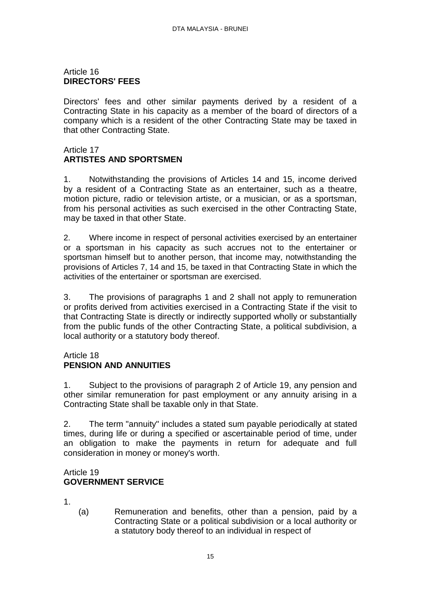### Article 16 **DIRECTORS' FEES**

Directors' fees and other similar payments derived by a resident of a Contracting State in his capacity as a member of the board of directors of a company which is a resident of the other Contracting State may be taxed in that other Contracting State.

### Article 17 **ARTISTES AND SPORTSMEN**

1. Notwithstanding the provisions of Articles 14 and 15, income derived by a resident of a Contracting State as an entertainer, such as a theatre, motion picture, radio or television artiste, or a musician, or as a sportsman, from his personal activities as such exercised in the other Contracting State, may be taxed in that other State.

2. Where income in respect of personal activities exercised by an entertainer or a sportsman in his capacity as such accrues not to the entertainer or sportsman himself but to another person, that income may, notwithstanding the provisions of Articles 7, 14 and 15, be taxed in that Contracting State in which the activities of the entertainer or sportsman are exercised.

3. The provisions of paragraphs 1 and 2 shall not apply to remuneration or profits derived from activities exercised in a Contracting State if the visit to that Contracting State is directly or indirectly supported wholly or substantially from the public funds of the other Contracting State, a political subdivision, a local authority or a statutory body thereof.

### Article 18

# **PENSION AND ANNUITIES**

1. Subject to the provisions of paragraph 2 of Article 19, any pension and other similar remuneration for past employment or any annuity arising in a Contracting State shall be taxable only in that State.

2. The term "annuity" includes a stated sum payable periodically at stated times, during life or during a specified or ascertainable period of time, under an obligation to make the payments in return for adequate and full consideration in money or money's worth.

### Article 19 **GOVERNMENT SERVICE**

1.

(a) Remuneration and benefits, other than a pension, paid by a Contracting State or a political subdivision or a local authority or a statutory body thereof to an individual in respect of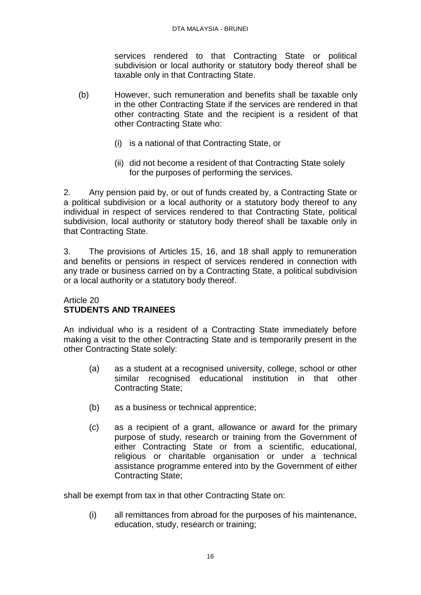services rendered to that Contracting State or political subdivision or local authority or statutory body thereof shall be taxable only in that Contracting State.

- (b) However, such remuneration and benefits shall be taxable only in the other Contracting State if the services are rendered in that other contracting State and the recipient is a resident of that other Contracting State who:
	- (i) is a national of that Contracting State, or
	- (ii) did not become a resident of that Contracting State solely for the purposes of performing the services.

2. Any pension paid by, or out of funds created by, a Contracting State or a political subdivision or a local authority or a statutory body thereof to any individual in respect of services rendered to that Contracting State, political subdivision, local authority or statutory body thereof shall be taxable only in that Contracting State.

3. The provisions of Articles 15, 16, and 18 shall apply to remuneration and benefits or pensions in respect of services rendered in connection with any trade or business carried on by a Contracting State, a political subdivision or a local authority or a statutory body thereof.

### Article 20 **STUDENTS AND TRAINEES**

An individual who is a resident of a Contracting State immediately before making a visit to the other Contracting State and is temporarily present in the other Contracting State solely:

- (a) as a student at a recognised university, college, school or other similar recognised educational institution in that other Contracting State;
- (b) as a business or technical apprentice;
- (c) as a recipient of a grant, allowance or award for the primary purpose of study, research or training from the Government of either Contracting State or from a scientific, educational, religious or charitable organisation or under a technical assistance programme entered into by the Government of either Contracting State;

shall be exempt from tax in that other Contracting State on:

(i) all remittances from abroad for the purposes of his maintenance, education, study, research or training;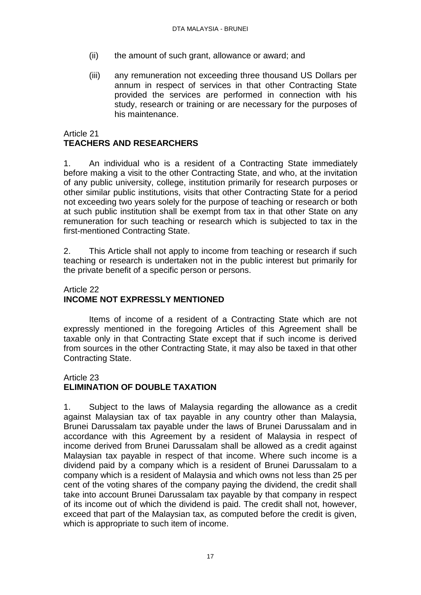- (ii) the amount of such grant, allowance or award; and
- (iii) any remuneration not exceeding three thousand US Dollars per annum in respect of services in that other Contracting State provided the services are performed in connection with his study, research or training or are necessary for the purposes of his maintenance.

# Article 21 **TEACHERS AND RESEARCHERS**

1. An individual who is a resident of a Contracting State immediately before making a visit to the other Contracting State, and who, at the invitation of any public university, college, institution primarily for research purposes or other similar public institutions, visits that other Contracting State for a period not exceeding two years solely for the purpose of teaching or research or both at such public institution shall be exempt from tax in that other State on any remuneration for such teaching or research which is subjected to tax in the first-mentioned Contracting State.

2. This Article shall not apply to income from teaching or research if such teaching or research is undertaken not in the public interest but primarily for the private benefit of a specific person or persons.

### Article 22 **INCOME NOT EXPRESSLY MENTIONED**

Items of income of a resident of a Contracting State which are not expressly mentioned in the foregoing Articles of this Agreement shall be taxable only in that Contracting State except that if such income is derived from sources in the other Contracting State, it may also be taxed in that other Contracting State.

### Article 23

### **ELIMINATION OF DOUBLE TAXATION**

1. Subject to the laws of Malaysia regarding the allowance as a credit against Malaysian tax of tax payable in any country other than Malaysia, Brunei Darussalam tax payable under the laws of Brunei Darussalam and in accordance with this Agreement by a resident of Malaysia in respect of income derived from Brunei Darussalam shall be allowed as a credit against Malaysian tax payable in respect of that income. Where such income is a dividend paid by a company which is a resident of Brunei Darussalam to a company which is a resident of Malaysia and which owns not less than 25 per cent of the voting shares of the company paying the dividend, the credit shall take into account Brunei Darussalam tax payable by that company in respect of its income out of which the dividend is paid. The credit shall not, however, exceed that part of the Malaysian tax, as computed before the credit is given, which is appropriate to such item of income.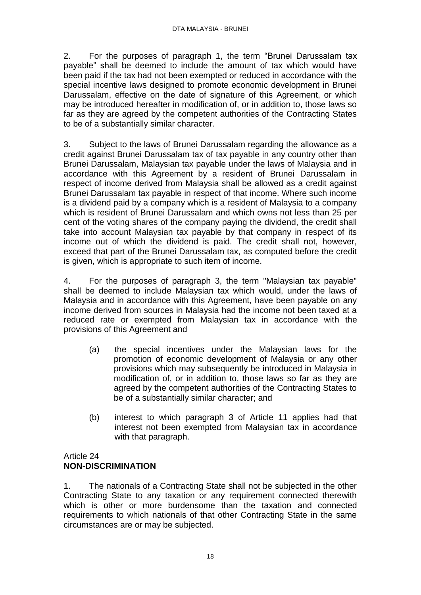2. For the purposes of paragraph 1, the term "Brunei Darussalam tax payable" shall be deemed to include the amount of tax which would have been paid if the tax had not been exempted or reduced in accordance with the special incentive laws designed to promote economic development in Brunei Darussalam, effective on the date of signature of this Agreement, or which may be introduced hereafter in modification of, or in addition to, those laws so far as they are agreed by the competent authorities of the Contracting States to be of a substantially similar character.

3. Subject to the laws of Brunei Darussalam regarding the allowance as a credit against Brunei Darussalam tax of tax payable in any country other than Brunei Darussalam, Malaysian tax payable under the laws of Malaysia and in accordance with this Agreement by a resident of Brunei Darussalam in respect of income derived from Malaysia shall be allowed as a credit against Brunei Darussalam tax payable in respect of that income. Where such income is a dividend paid by a company which is a resident of Malaysia to a company which is resident of Brunei Darussalam and which owns not less than 25 per cent of the voting shares of the company paying the dividend, the credit shall take into account Malaysian tax payable by that company in respect of its income out of which the dividend is paid. The credit shall not, however, exceed that part of the Brunei Darussalam tax, as computed before the credit is given, which is appropriate to such item of income.

4. For the purposes of paragraph 3, the term "Malaysian tax payable" shall be deemed to include Malaysian tax which would, under the laws of Malaysia and in accordance with this Agreement, have been payable on any income derived from sources in Malaysia had the income not been taxed at a reduced rate or exempted from Malaysian tax in accordance with the provisions of this Agreement and

- (a) the special incentives under the Malaysian laws for the promotion of economic development of Malaysia or any other provisions which may subsequently be introduced in Malaysia in modification of, or in addition to, those laws so far as they are agreed by the competent authorities of the Contracting States to be of a substantially similar character; and
- (b) interest to which paragraph 3 of Article 11 applies had that interest not been exempted from Malaysian tax in accordance with that paragraph.

### Article 24 **NON-DISCRIMINATION**

1. The nationals of a Contracting State shall not be subjected in the other Contracting State to any taxation or any requirement connected therewith which is other or more burdensome than the taxation and connected requirements to which nationals of that other Contracting State in the same circumstances are or may be subjected.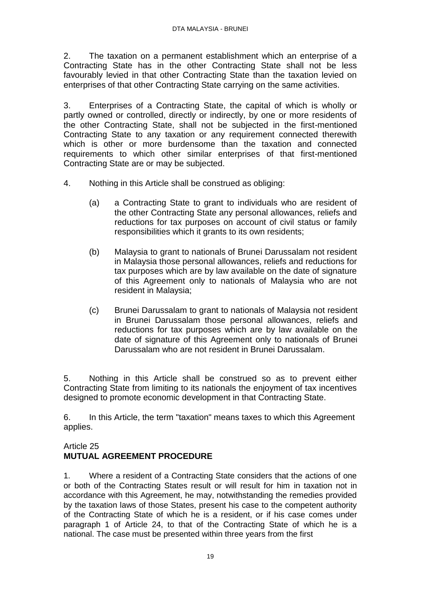2. The taxation on a permanent establishment which an enterprise of a Contracting State has in the other Contracting State shall not be less favourably levied in that other Contracting State than the taxation levied on enterprises of that other Contracting State carrying on the same activities.

3. Enterprises of a Contracting State, the capital of which is wholly or partly owned or controlled, directly or indirectly, by one or more residents of the other Contracting State, shall not be subjected in the first-mentioned Contracting State to any taxation or any requirement connected therewith which is other or more burdensome than the taxation and connected requirements to which other similar enterprises of that first-mentioned Contracting State are or may be subjected.

- 4. Nothing in this Article shall be construed as obliging:
	- (a) a Contracting State to grant to individuals who are resident of the other Contracting State any personal allowances, reliefs and reductions for tax purposes on account of civil status or family responsibilities which it grants to its own residents;
	- (b) Malaysia to grant to nationals of Brunei Darussalam not resident in Malaysia those personal allowances, reliefs and reductions for tax purposes which are by law available on the date of signature of this Agreement only to nationals of Malaysia who are not resident in Malaysia;
	- (c) Brunei Darussalam to grant to nationals of Malaysia not resident in Brunei Darussalam those personal allowances, reliefs and reductions for tax purposes which are by law available on the date of signature of this Agreement only to nationals of Brunei Darussalam who are not resident in Brunei Darussalam.

5. Nothing in this Article shall be construed so as to prevent either Contracting State from limiting to its nationals the enjoyment of tax incentives designed to promote economic development in that Contracting State.

6. In this Article, the term "taxation" means taxes to which this Agreement applies.

### Article 25

# **MUTUAL AGREEMENT PROCEDURE**

1. Where a resident of a Contracting State considers that the actions of one or both of the Contracting States result or will result for him in taxation not in accordance with this Agreement, he may, notwithstanding the remedies provided by the taxation laws of those States, present his case to the competent authority of the Contracting State of which he is a resident, or if his case comes under paragraph 1 of Article 24, to that of the Contracting State of which he is a national. The case must be presented within three years from the first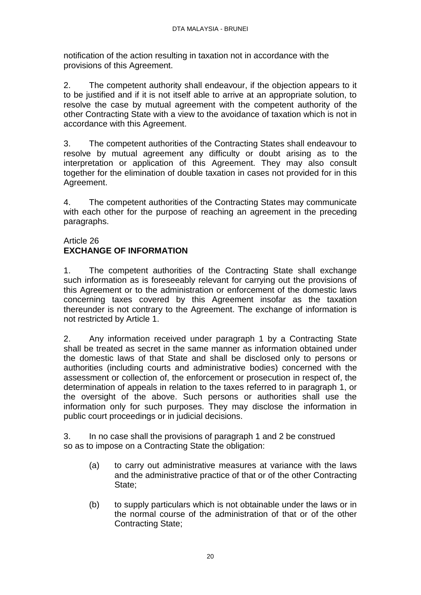notification of the action resulting in taxation not in accordance with the provisions of this Agreement.

2. The competent authority shall endeavour, if the objection appears to it to be justified and if it is not itself able to arrive at an appropriate solution, to resolve the case by mutual agreement with the competent authority of the other Contracting State with a view to the avoidance of taxation which is not in accordance with this Agreement.

3. The competent authorities of the Contracting States shall endeavour to resolve by mutual agreement any difficulty or doubt arising as to the interpretation or application of this Agreement. They may also consult together for the elimination of double taxation in cases not provided for in this Agreement.

4. The competent authorities of the Contracting States may communicate with each other for the purpose of reaching an agreement in the preceding paragraphs.

### Article 26 **EXCHANGE OF INFORMATION**

1. The competent authorities of the Contracting State shall exchange such information as is foreseeably relevant for carrying out the provisions of this Agreement or to the administration or enforcement of the domestic laws concerning taxes covered by this Agreement insofar as the taxation thereunder is not contrary to the Agreement. The exchange of information is not restricted by Article 1.

2. Any information received under paragraph 1 by a Contracting State shall be treated as secret in the same manner as information obtained under the domestic laws of that State and shall be disclosed only to persons or authorities (including courts and administrative bodies) concerned with the assessment or collection of, the enforcement or prosecution in respect of, the determination of appeals in relation to the taxes referred to in paragraph 1, or the oversight of the above. Such persons or authorities shall use the information only for such purposes. They may disclose the information in public court proceedings or in judicial decisions.

3. In no case shall the provisions of paragraph 1 and 2 be construed so as to impose on a Contracting State the obligation:

- (a) to carry out administrative measures at variance with the laws and the administrative practice of that or of the other Contracting State:
- (b) to supply particulars which is not obtainable under the laws or in the normal course of the administration of that or of the other Contracting State;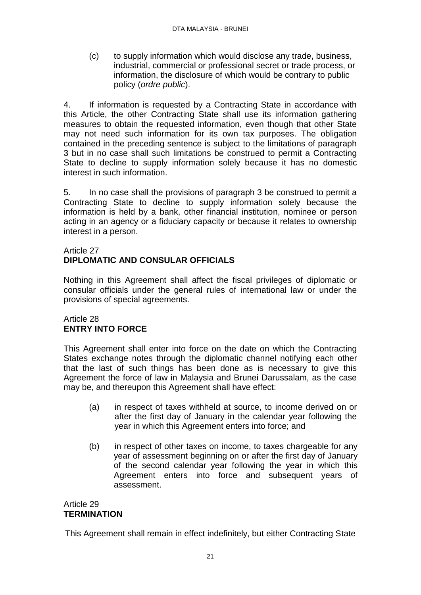(c) to supply information which would disclose any trade, business, industrial, commercial or professional secret or trade process, or information, the disclosure of which would be contrary to public policy (*ordre public*).

4. If information is requested by a Contracting State in accordance with this Article, the other Contracting State shall use its information gathering measures to obtain the requested information, even though that other State may not need such information for its own tax purposes. The obligation contained in the preceding sentence is subject to the limitations of paragraph 3 but in no case shall such limitations be construed to permit a Contracting State to decline to supply information solely because it has no domestic interest in such information.

5. In no case shall the provisions of paragraph 3 be construed to permit a Contracting State to decline to supply information solely because the information is held by a bank, other financial institution, nominee or person acting in an agency or a fiduciary capacity or because it relates to ownership interest in a person.

### Article 27 **DIPLOMATIC AND CONSULAR OFFICIALS**

Nothing in this Agreement shall affect the fiscal privileges of diplomatic or consular officials under the general rules of international law or under the provisions of special agreements.

### Article 28 **ENTRY INTO FORCE**

This Agreement shall enter into force on the date on which the Contracting States exchange notes through the diplomatic channel notifying each other that the last of such things has been done as is necessary to give this Agreement the force of law in Malaysia and Brunei Darussalam, as the case may be, and thereupon this Agreement shall have effect:

- (a) in respect of taxes withheld at source, to income derived on or after the first day of January in the calendar year following the year in which this Agreement enters into force; and
- (b) in respect of other taxes on income, to taxes chargeable for any year of assessment beginning on or after the first day of January of the second calendar year following the year in which this Agreement enters into force and subsequent years of assessment.

### Article 29 **TERMINATION**

This Agreement shall remain in effect indefinitely, but either Contracting State